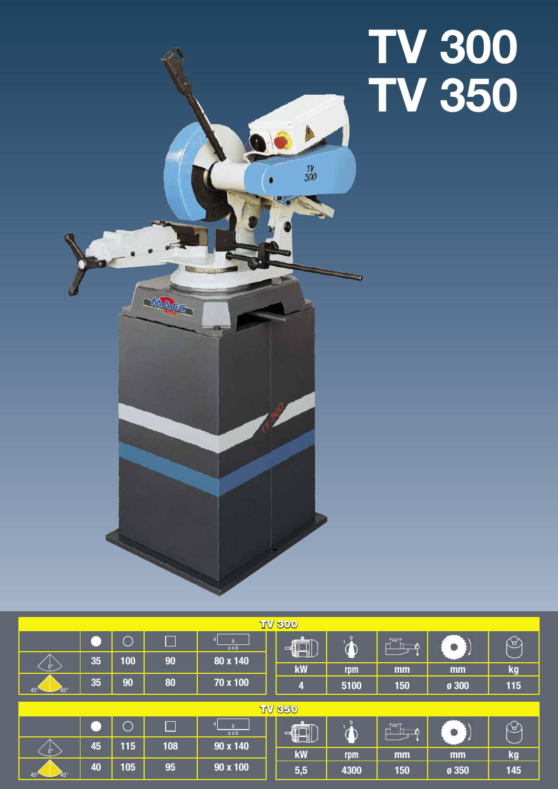# **TV 300 TV 350**



| <b>TV 800</b>              |    |     |     |                      |                         |      |               |       |     |
|----------------------------|----|-----|-----|----------------------|-------------------------|------|---------------|-------|-----|
|                            |    |     | a.  | a<br>$a \times b$    | ◀                       |      | $\frac{1}{2}$ |       | ᢣ   |
| $0^{\circ}$                | 35 | 100 | 90  | 80 x 140             | kW                      | rpm  | mm            | mm    | kg  |
| 45°<br>$45^{\circ}$        | 35 | 90  | 80  | 70 x 100             | $\overline{\mathbf{4}}$ | 5100 | 150           | ø 300 | 115 |
|                            |    |     |     |                      |                         |      |               |       |     |
| <b>TV 850</b>              |    |     |     |                      |                         |      |               |       |     |
|                            |    |     |     | a<br>ax <sub>b</sub> | ce 1                    |      | mar           |       | ₩   |
| $0^{\circ}$                | 45 | 115 | 108 | 90 x 140             | ∺∃                      |      |               |       |     |
|                            |    |     |     |                      | kW                      | rpm  | mm            | mm    | kg  |
| $45^\circ$<br>$45^{\circ}$ | 40 | 105 | 95  | 90 x 100             | 5,5                     | 4300 | 150           | Ø 350 | 145 |